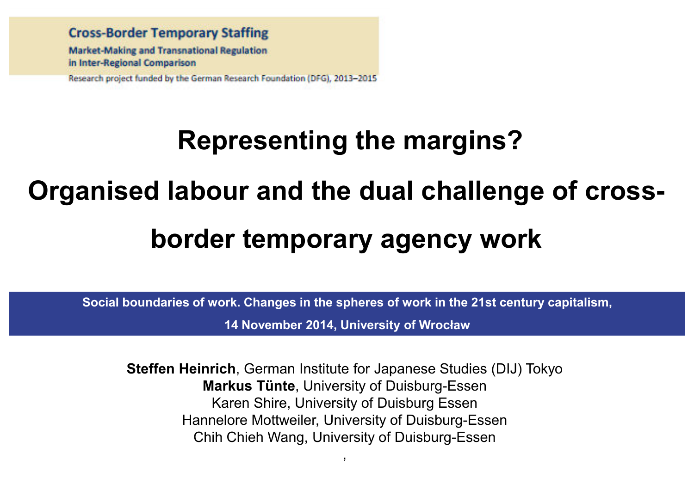**Cross-Border Temporary Staffing Market-Making and Transnational Regulation** in Inter-Regional Comparison Research project funded by the German Research Foundation (DFG), 2013-2015

## **Representing the margins?**

#### **Organised labour and the dual challenge of cross-**

## **border temporary agency work**

**Social boundaries of work. Changes in the spheres of work in the 21st century capitalism,** 

**14 November 2014, University of Wrocław**

**Steffen Heinrich**, German Institute for Japanese Studies (DIJ) Tokyo**Markus Tünte**, University of Duisburg-Essen Karen Shire, University of Duisburg Essen Hannelore Mottweiler, University of Duisburg-EssenChih Chieh Wang, University of Duisburg-Essen

,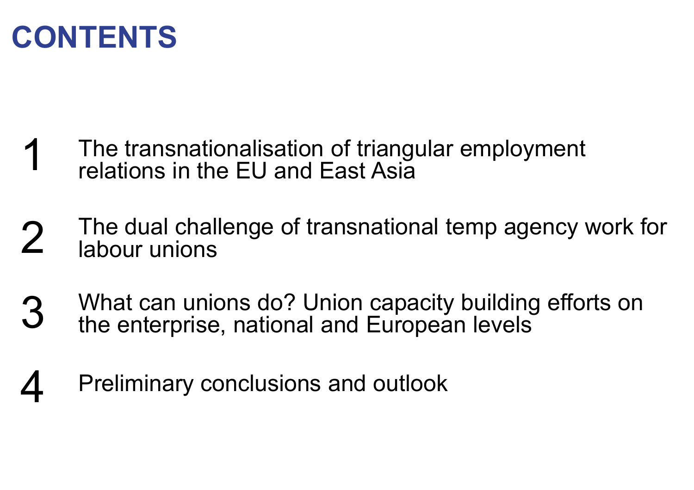

- The transnationalisation of triangular employment 1relations in the EU and East Asia
- 2The dual challenge of transnational temp agency work for labour unions
- What can unions do? Union capacity building efforts on the enterprise, national and European levels3
- 4Preliminary conclusions and outlook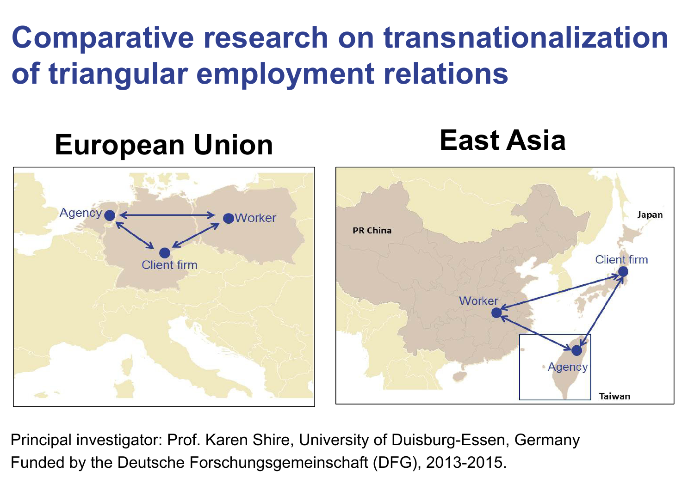**Comparative research on transnationalization of triangular employment relations**

Japan

## **East Asia European Union**Agency **Worker PR China Client** firm **Client** firm Worker **Agency Taiwan**

Principal investigator: Prof. Karen Shire, University of Duisburg-Essen, GermanyFunded by the Deutsche Forschungsgemeinschaft (DFG), 2013-2015.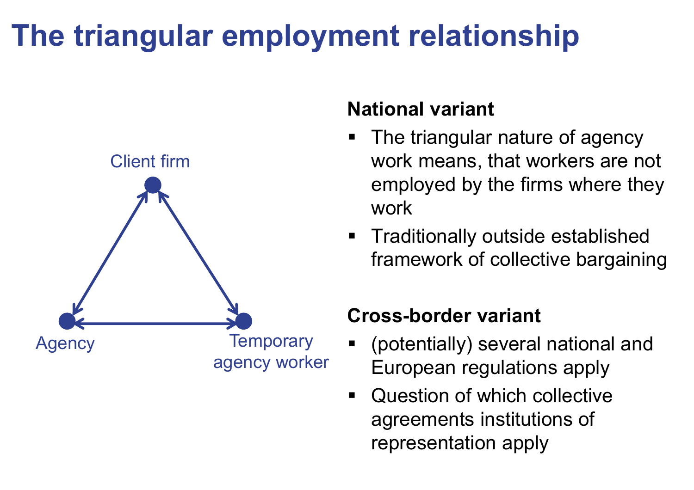## **The triangular employment relationship**



#### **National variant**

- The triangular nature of agency work means, that workers are not employed by the firms where they work
- $\blacksquare$  Traditionally outside established framework of collective bargaining

#### **Cross-border variant**

- (potentially) several national and European regulations apply
- $\blacksquare$  Question of which collective agreements institutions of representation apply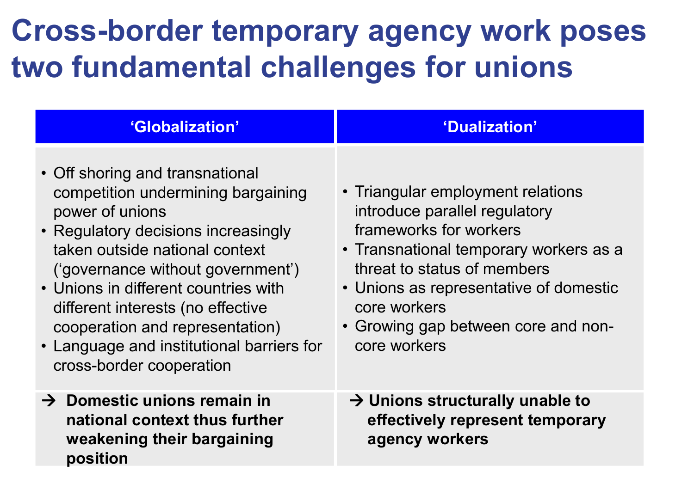## **Cross-border temporary agency work poses two fundamental challenges for unions**

| 'Globalization'                                                                                                                                                                                                                                                                                                                                                                                 | 'Dualization'                                                                                                                                                                                                                                                                          |
|-------------------------------------------------------------------------------------------------------------------------------------------------------------------------------------------------------------------------------------------------------------------------------------------------------------------------------------------------------------------------------------------------|----------------------------------------------------------------------------------------------------------------------------------------------------------------------------------------------------------------------------------------------------------------------------------------|
| • Off shoring and transnational<br>competition undermining bargaining<br>power of unions<br>• Regulatory decisions increasingly<br>taken outside national context<br>('governance without government')<br>• Unions in different countries with<br>different interests (no effective<br>cooperation and representation)<br>• Language and institutional barriers for<br>cross-border cooperation | • Triangular employment relations<br>introduce parallel regulatory<br>frameworks for workers<br>• Transnational temporary workers as a<br>threat to status of members<br>• Unions as representative of domestic<br>core workers<br>• Growing gap between core and non-<br>core workers |
| $\rightarrow$ Domestic unions remain in<br>national context thus further<br>weakening their bargaining<br>position                                                                                                                                                                                                                                                                              | $\rightarrow$ Unions structurally unable to<br>effectively represent temporary<br>agency workers                                                                                                                                                                                       |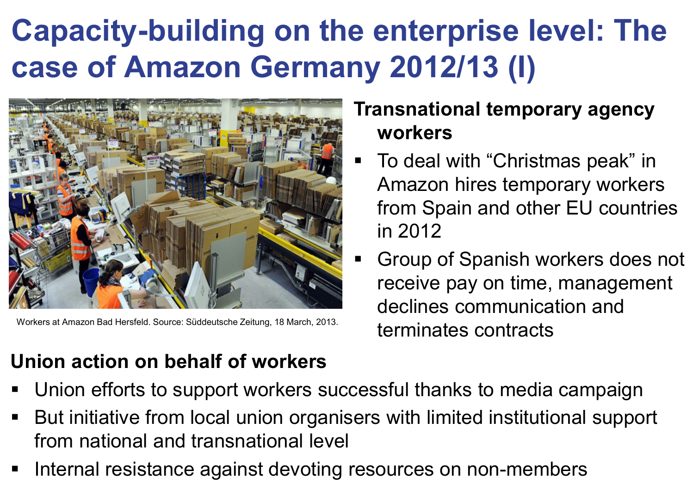## **Capacity-building on the enterprise level: The case of Amazon Germany 2012/13 (I)**



Workers at Amazon Bad Hersfeld. Source: Süddeutsche Zeitung, 18 March, 2013.

### **Union action on behalf of workers**

#### **Transnational temporary agency workers**

- $\blacksquare$  To deal with "Christmas peak" in Amazon hires temporary workers from Spain and other EU countries in 2012
- $\blacksquare$  Group of Spanish workers does not receive pay on time, management declines communication and terminates contracts
- Union efforts to support workers successful thanks to media campaign
- But initiative from local union organisers with limited institutional support from national and transnational level
- Internal resistance against devoting resources on non-members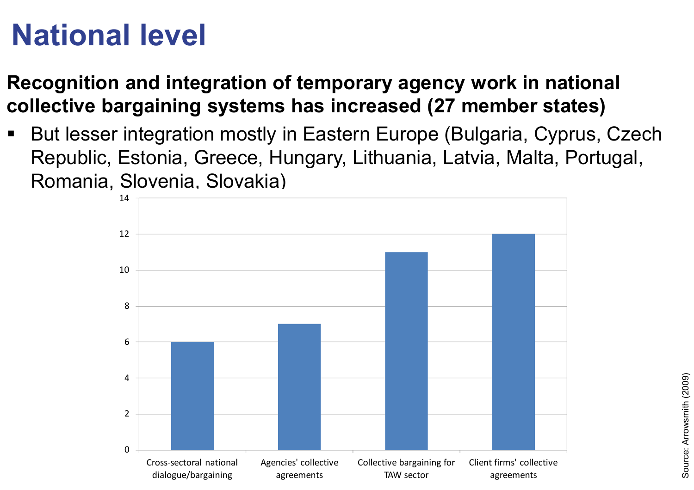## **National level**

**Recognition and integration of temporary agency work in national collective bargaining systems has increased (27 member states)**

 But lesser integration mostly in Eastern Europe (Bulgaria, Cyprus, Czech Republic, Estonia, Greece, Hungary, Lithuania, Latvia, Malta, Portugal, Romania, Slovenia, Slovakia)

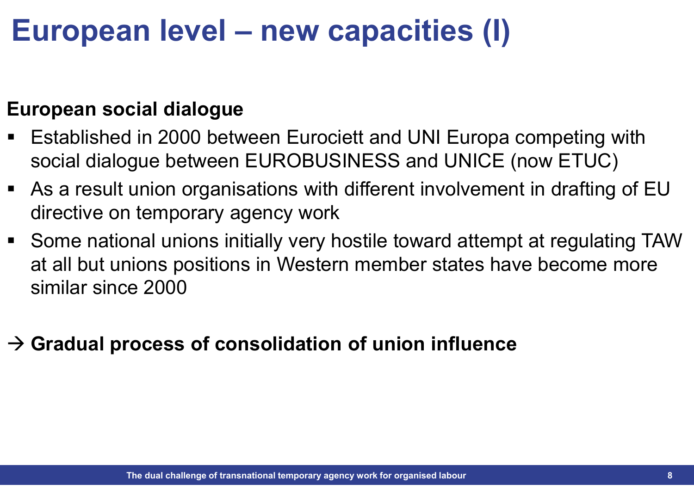## **European level – new capacities (I)**

#### **European social dialogue**

- Established in 2000 between Eurociett and UNI Europa competing with social dialogue between EUROBUSINESS and UNICE (now ETUC)
- As a result union organisations with different involvement in drafting of EU directive on temporary agency work
- Some national unions initially very hostile toward attempt at regulating TAW at all but unions positions in Western member states have become more similar since 2000

## - **Gradual process of consolidation of union influence**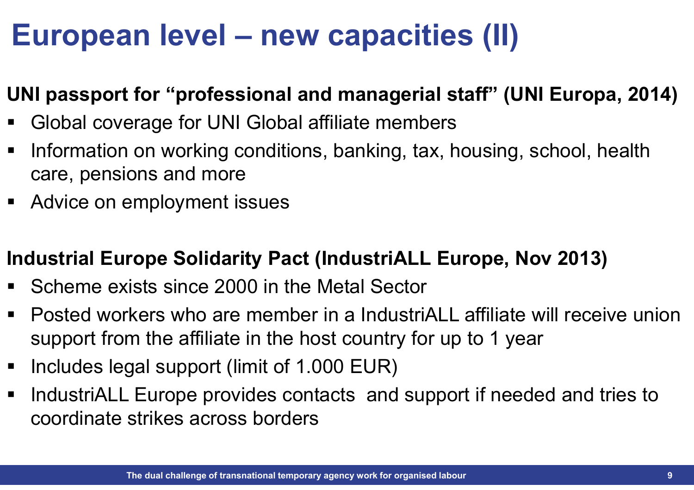## **European level – new capacities (II)**

#### **UNI passport for "professional and managerial staff" (UNI Europa, 2014)**

- $\blacksquare$ Global coverage for UNI Global affiliate members
- $\blacksquare$  Information on working conditions, banking, tax, housing, school, health care, pensions and more
- Advice on employment issues

#### **Industrial Europe Solidarity Pact (IndustriALL Europe, Nov 2013)**

- Scheme exists since 2000 in the Metal Sector
- Posted workers who are member in a IndustriALL affiliate will receive union support from the affiliate in the host country for up to 1 year
- $\blacksquare$ Includes legal support (limit of 1.000 EUR)
- $\blacksquare$  IndustriALL Europe provides contacts and support if needed and tries to coordinate strikes across borders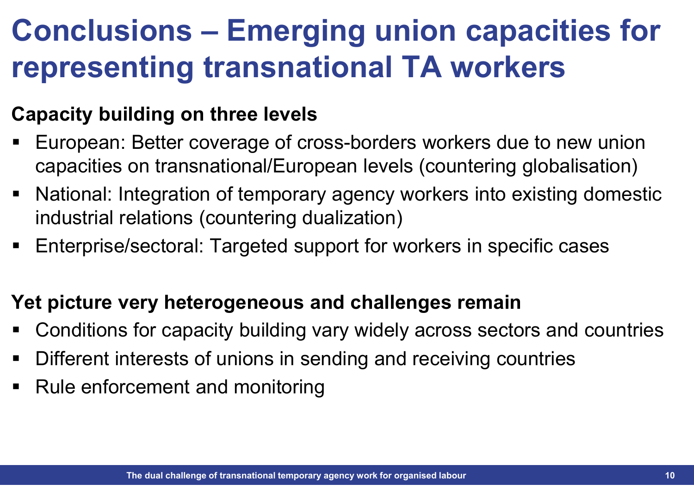## **Conclusions – Emerging union capacities for representing transnational TA workers**

### **Capacity building on three levels**

- European: Better coverage of cross-borders workers due to new union capacities on transnational/European levels (countering globalisation)
- $\blacksquare$  National: Integration of temporary agency workers into existing domestic industrial relations (countering dualization)
- Enterprise/sectoral: Targeted support for workers in specific cases

#### **Yet picture very heterogeneous and challenges remain**

- $\blacksquare$ Conditions for capacity building vary widely across sectors and countries
- Different interests of unions in sending and receiving countries
- Rule enforcement and monitoring